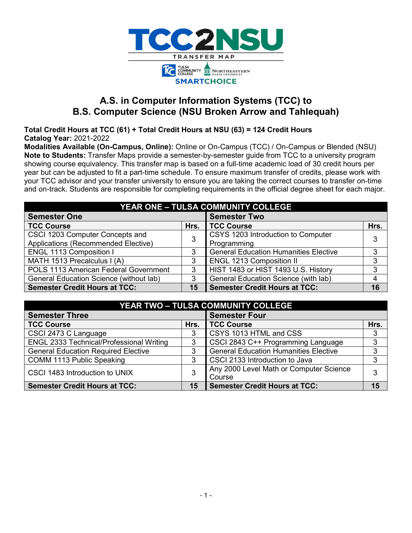

# **A.S. in Computer Information Systems (TCC) to B.S. Computer Science (NSU Broken Arrow and Tahlequah)**

**Total Credit Hours at TCC (61) + Total Credit Hours at NSU (63) = 124 Credit Hours Catalog Year:** 2021-2022

**Modalities Available (On-Campus, Online):** Online or On-Campus (TCC) / On-Campus or Blended (NSU) **Note to Students:** Transfer Maps provide a semester-by-semester guide from TCC to a university program showing course equivalency. This transfer map is based on a full-time academic load of 30 credit hours per year but can be adjusted to fit a part-time schedule. To ensure maximum transfer of credits, please work with your TCC advisor and your transfer university to ensure you are taking the correct courses to transfer on-time and on-track. Students are responsible for completing requirements in the official degree sheet for each major.

| <b>YEAR ONE - TULSA COMMUNITY COLLEGE</b> |      |                                              |      |  |  |  |
|-------------------------------------------|------|----------------------------------------------|------|--|--|--|
| <b>Semester One</b>                       |      | <b>Semester Two</b>                          |      |  |  |  |
| <b>TCC Course</b>                         | Hrs. | <b>TCC Course</b>                            | Hrs. |  |  |  |
| CSCI 1203 Computer Concepts and           | 3    | CSYS 1203 Introduction to Computer           | 3    |  |  |  |
| Applications (Recommended Elective)       |      | Programming                                  |      |  |  |  |
| <b>ENGL 1113 Composition I</b>            |      | <b>General Education Humanities Elective</b> | 3    |  |  |  |
| MATH 1513 Precalculus I (A)               | 3    | <b>ENGL 1213 Composition II</b>              | 3    |  |  |  |
| POLS 1113 American Federal Government     | 3    | HIST 1483 or HIST 1493 U.S. History          | 3    |  |  |  |
| General Education Science (without lab)   | 3    | General Education Science (with lab)         | 4    |  |  |  |
| <b>Semester Credit Hours at TCC:</b>      | 15   | <b>Semester Credit Hours at TCC:</b>         | 16   |  |  |  |

| YEAR TWO - TULSA COMMUNITY COLLEGE              |      |                                              |      |  |  |  |
|-------------------------------------------------|------|----------------------------------------------|------|--|--|--|
| <b>Semester Three</b>                           |      | <b>Semester Four</b>                         |      |  |  |  |
| <b>TCC Course</b>                               | Hrs. | <b>TCC Course</b>                            | Hrs. |  |  |  |
| CSCI 2473 C Language                            |      | CSYS 1013 HTML and CSS                       | 3    |  |  |  |
| <b>ENGL 2333 Technical/Professional Writing</b> | 3    | CSCI 2843 C++ Programming Language           | 3    |  |  |  |
| <b>General Education Required Elective</b>      | 3    | <b>General Education Humanities Elective</b> | 3    |  |  |  |
| COMM 1113 Public Speaking                       | 3    | CSCI 2133 Introduction to Java               | 3    |  |  |  |
| CSCI 1483 Introduction to UNIX                  | 3    | Any 2000 Level Math or Computer Science      | 3    |  |  |  |
|                                                 |      | Course                                       |      |  |  |  |
| <b>Semester Credit Hours at TCC:</b>            | 15   | <b>Semester Credit Hours at TCC:</b>         | 15   |  |  |  |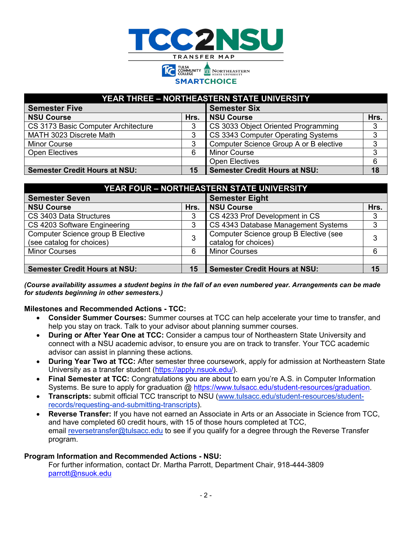

**SMARTCHOICE** 

| YEAR THREE - NORTHEASTERN STATE UNIVERSITY |      |                                        |      |  |  |  |
|--------------------------------------------|------|----------------------------------------|------|--|--|--|
| <b>Semester Five</b>                       |      | <b>Semester Six</b>                    |      |  |  |  |
| <b>NSU Course</b>                          | Hrs. | <b>NSU Course</b>                      | Hrs. |  |  |  |
| CS 3173 Basic Computer Architecture        |      | CS 3033 Object Oriented Programming    | 3    |  |  |  |
| MATH 3023 Discrete Math                    |      | CS 3343 Computer Operating Systems     | 3    |  |  |  |
| <b>Minor Course</b>                        |      | Computer Science Group A or B elective | 3    |  |  |  |
| <b>Open Electives</b>                      | 6    | <b>Minor Course</b>                    | 3    |  |  |  |
|                                            |      | <b>Open Electives</b>                  | 6    |  |  |  |
| <b>Semester Credit Hours at NSU:</b>       | 15   | <b>Semester Credit Hours at NSU:</b>   | 18   |  |  |  |

| <b>YEAR FOUR - NORTHEASTERN STATE UNIVERSITY</b>                      |      |                                                                |      |  |  |  |  |
|-----------------------------------------------------------------------|------|----------------------------------------------------------------|------|--|--|--|--|
| <b>Semester Seven</b>                                                 |      | <b>Semester Eight</b>                                          |      |  |  |  |  |
| <b>NSU Course</b>                                                     | Hrs. | <b>NSU Course</b>                                              | Hrs. |  |  |  |  |
| CS 3403 Data Structures                                               | 3    | CS 4233 Prof Development in CS                                 |      |  |  |  |  |
| CS 4203 Software Engineering                                          | 3    | CS 4343 Database Management Systems                            | 3    |  |  |  |  |
| <b>Computer Science group B Elective</b><br>(see catalog for choices) | 3    | Computer Science group B Elective (see<br>catalog for choices) | 3    |  |  |  |  |
| <b>Minor Courses</b>                                                  | 6    | <b>Minor Courses</b>                                           |      |  |  |  |  |
|                                                                       |      |                                                                |      |  |  |  |  |
| <b>Semester Credit Hours at NSU:</b>                                  | 15   | <b>Semester Credit Hours at NSU:</b>                           | 15   |  |  |  |  |

*(Course availability assumes a student begins in the fall of an even numbered year. Arrangements can be made for students beginning in other semesters.)*

### **Milestones and Recommended Actions - TCC:**

- **Consider Summer Courses:** Summer courses at TCC can help accelerate your time to transfer, and help you stay on track. Talk to your advisor about planning summer courses.
- **During or After Year One at TCC:** Consider a campus tour of Northeastern State University and connect with a NSU academic advisor, to ensure you are on track to transfer. Your TCC academic advisor can assist in planning these actions.
- **During Year Two at TCC:** After semester three coursework, apply for admission at Northeastern State University as a transfer student [\(https://apply.nsuok.edu/\)](https://apply.nsuok.edu/).
- **Final Semester at TCC:** Congratulations you are about to earn you're A.S. in Computer Information Systems. Be sure to apply for graduation @ [https://www.tulsacc.edu/student-resources/graduation.](https://www.tulsacc.edu/student-resources/graduation)
- **Transcripts:** submit official TCC transcript to NSU [\(www.tulsacc.edu/student-resources/student](https://nam02.safelinks.protection.outlook.com/?url=https%3A%2F%2Fwww.tulsacc.edu%2Fstudent-resources%2Fstudent-records%2Frequesting-and-submitting-transcripts&data=02%7C01%7Cemily.tichenor%40tulsacc.edu%7C5598c6763639477e236c08d85f0839bf%7Ceb5d9dc493c645578c2390ef7fa05b96%7C0%7C0%7C637363836231035674&sdata=5lmaWMnEEDKUqbMnQK%2Br2W27bnwkjhyXpRtV%2Fy6ySco%3D&reserved=0)[records/requesting-and-submitting-transcripts\)](https://nam02.safelinks.protection.outlook.com/?url=https%3A%2F%2Fwww.tulsacc.edu%2Fstudent-resources%2Fstudent-records%2Frequesting-and-submitting-transcripts&data=02%7C01%7Cemily.tichenor%40tulsacc.edu%7C5598c6763639477e236c08d85f0839bf%7Ceb5d9dc493c645578c2390ef7fa05b96%7C0%7C0%7C637363836231035674&sdata=5lmaWMnEEDKUqbMnQK%2Br2W27bnwkjhyXpRtV%2Fy6ySco%3D&reserved=0).
- **Reverse Transfer:** If you have not earned an Associate in Arts or an Associate in Science from TCC, and have completed 60 credit hours, with 15 of those hours completed at TCC, email [reversetransfer@tulsacc.edu](mailto:reversetransfer@tulsacc.edu) to see if you qualify for a degree through the Reverse Transfer program.

### **Program Information and Recommended Actions - NSU:**

For further information, contact Dr. Martha Parrott, Department Chair, 918-444-3809 [parrott@nsuok.edu](mailto:parrott@nsuok.edu)